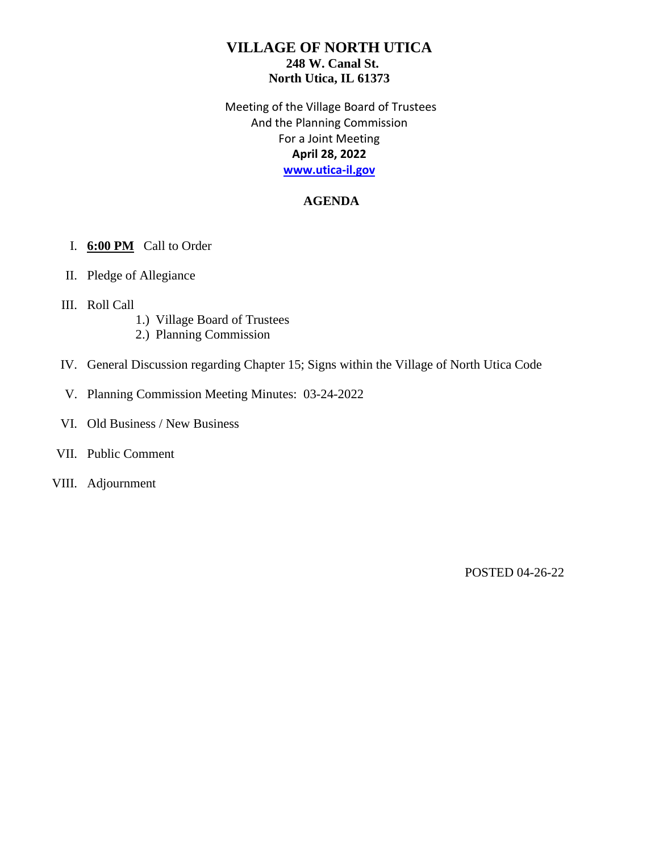Meeting of the Village Board of Trustees And the Planning Commission For a Joint Meeting **April 28, 2022 [www.utica-il.gov](http://www.utica-il.gov/)**

# **AGENDA**

### I. **6:00 PM** Call to Order

- II. Pledge of Allegiance
- III. Roll Call
	- 1.) Village Board of Trustees
	- 2.) Planning Commission
- IV. General Discussion regarding Chapter 15; Signs within the Village of North Utica Code
- V. Planning Commission Meeting Minutes: 03-24-2022
- VI. Old Business / New Business

#### VII. Public Comment

VIII. Adjournment

POSTED 04-26-22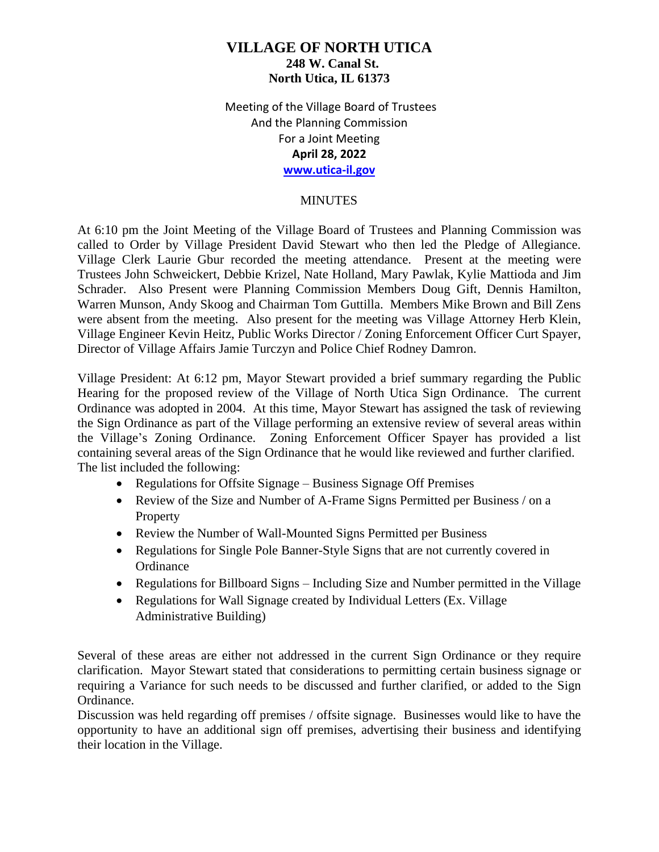Meeting of the Village Board of Trustees And the Planning Commission For a Joint Meeting **April 28, 2022 [www.utica-il.gov](http://www.utica-il.gov/)**

### **MINUTES**

At 6:10 pm the Joint Meeting of the Village Board of Trustees and Planning Commission was called to Order by Village President David Stewart who then led the Pledge of Allegiance. Village Clerk Laurie Gbur recorded the meeting attendance. Present at the meeting were Trustees John Schweickert, Debbie Krizel, Nate Holland, Mary Pawlak, Kylie Mattioda and Jim Schrader. Also Present were Planning Commission Members Doug Gift, Dennis Hamilton, Warren Munson, Andy Skoog and Chairman Tom Guttilla. Members Mike Brown and Bill Zens were absent from the meeting. Also present for the meeting was Village Attorney Herb Klein, Village Engineer Kevin Heitz, Public Works Director / Zoning Enforcement Officer Curt Spayer, Director of Village Affairs Jamie Turczyn and Police Chief Rodney Damron.

Village President: At 6:12 pm, Mayor Stewart provided a brief summary regarding the Public Hearing for the proposed review of the Village of North Utica Sign Ordinance. The current Ordinance was adopted in 2004. At this time, Mayor Stewart has assigned the task of reviewing the Sign Ordinance as part of the Village performing an extensive review of several areas within the Village's Zoning Ordinance. Zoning Enforcement Officer Spayer has provided a list containing several areas of the Sign Ordinance that he would like reviewed and further clarified. The list included the following:

- Regulations for Offsite Signage Business Signage Off Premises
- Review of the Size and Number of A-Frame Signs Permitted per Business / on a **Property**
- Review the Number of Wall-Mounted Signs Permitted per Business
- Regulations for Single Pole Banner-Style Signs that are not currently covered in **Ordinance**
- Regulations for Billboard Signs Including Size and Number permitted in the Village
- Regulations for Wall Signage created by Individual Letters (Ex. Village Administrative Building)

Several of these areas are either not addressed in the current Sign Ordinance or they require clarification. Mayor Stewart stated that considerations to permitting certain business signage or requiring a Variance for such needs to be discussed and further clarified, or added to the Sign Ordinance.

Discussion was held regarding off premises / offsite signage. Businesses would like to have the opportunity to have an additional sign off premises, advertising their business and identifying their location in the Village.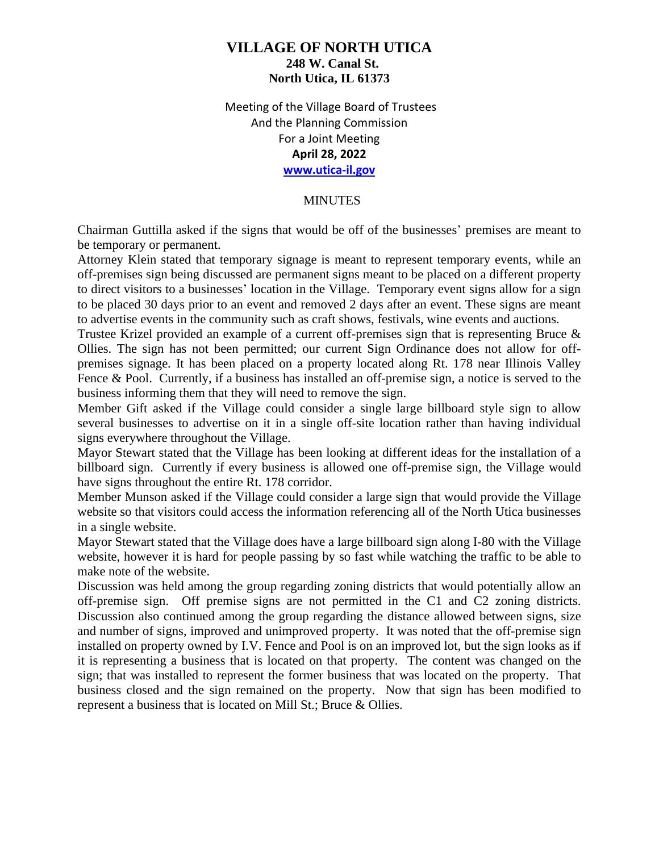Meeting of the Village Board of Trustees And the Planning Commission For a Joint Meeting **April 28, 2022 [www.utica-il.gov](http://www.utica-il.gov/)**

#### **MINUTES**

Chairman Guttilla asked if the signs that would be off of the businesses' premises are meant to be temporary or permanent.

Attorney Klein stated that temporary signage is meant to represent temporary events, while an off-premises sign being discussed are permanent signs meant to be placed on a different property to direct visitors to a businesses' location in the Village. Temporary event signs allow for a sign to be placed 30 days prior to an event and removed 2 days after an event. These signs are meant to advertise events in the community such as craft shows, festivals, wine events and auctions.

Trustee Krizel provided an example of a current off-premises sign that is representing Bruce & Ollies. The sign has not been permitted; our current Sign Ordinance does not allow for offpremises signage. It has been placed on a property located along Rt. 178 near Illinois Valley Fence & Pool. Currently, if a business has installed an off-premise sign, a notice is served to the business informing them that they will need to remove the sign.

Member Gift asked if the Village could consider a single large billboard style sign to allow several businesses to advertise on it in a single off-site location rather than having individual signs everywhere throughout the Village.

Mayor Stewart stated that the Village has been looking at different ideas for the installation of a billboard sign. Currently if every business is allowed one off-premise sign, the Village would have signs throughout the entire Rt. 178 corridor.

Member Munson asked if the Village could consider a large sign that would provide the Village website so that visitors could access the information referencing all of the North Utica businesses in a single website.

Mayor Stewart stated that the Village does have a large billboard sign along I-80 with the Village website, however it is hard for people passing by so fast while watching the traffic to be able to make note of the website.

Discussion was held among the group regarding zoning districts that would potentially allow an off-premise sign. Off premise signs are not permitted in the C1 and C2 zoning districts. Discussion also continued among the group regarding the distance allowed between signs, size and number of signs, improved and unimproved property. It was noted that the off-premise sign installed on property owned by I.V. Fence and Pool is on an improved lot, but the sign looks as if it is representing a business that is located on that property. The content was changed on the sign; that was installed to represent the former business that was located on the property. That business closed and the sign remained on the property. Now that sign has been modified to represent a business that is located on Mill St.; Bruce & Ollies.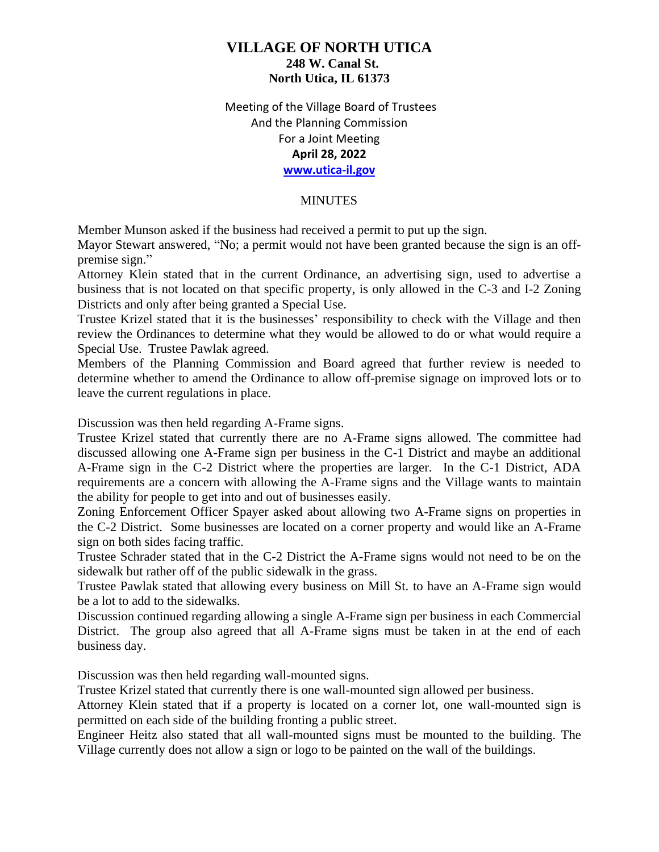Meeting of the Village Board of Trustees And the Planning Commission For a Joint Meeting **April 28, 2022 [www.utica-il.gov](http://www.utica-il.gov/)**

#### **MINUTES**

Member Munson asked if the business had received a permit to put up the sign.

Mayor Stewart answered, "No; a permit would not have been granted because the sign is an offpremise sign."

Attorney Klein stated that in the current Ordinance, an advertising sign, used to advertise a business that is not located on that specific property, is only allowed in the C-3 and I-2 Zoning Districts and only after being granted a Special Use.

Trustee Krizel stated that it is the businesses' responsibility to check with the Village and then review the Ordinances to determine what they would be allowed to do or what would require a Special Use. Trustee Pawlak agreed.

Members of the Planning Commission and Board agreed that further review is needed to determine whether to amend the Ordinance to allow off-premise signage on improved lots or to leave the current regulations in place.

Discussion was then held regarding A-Frame signs.

Trustee Krizel stated that currently there are no A-Frame signs allowed. The committee had discussed allowing one A-Frame sign per business in the C-1 District and maybe an additional A-Frame sign in the C-2 District where the properties are larger. In the C-1 District, ADA requirements are a concern with allowing the A-Frame signs and the Village wants to maintain the ability for people to get into and out of businesses easily.

Zoning Enforcement Officer Spayer asked about allowing two A-Frame signs on properties in the C-2 District. Some businesses are located on a corner property and would like an A-Frame sign on both sides facing traffic.

Trustee Schrader stated that in the C-2 District the A-Frame signs would not need to be on the sidewalk but rather off of the public sidewalk in the grass.

Trustee Pawlak stated that allowing every business on Mill St. to have an A-Frame sign would be a lot to add to the sidewalks.

Discussion continued regarding allowing a single A-Frame sign per business in each Commercial District. The group also agreed that all A-Frame signs must be taken in at the end of each business day.

Discussion was then held regarding wall-mounted signs.

Trustee Krizel stated that currently there is one wall-mounted sign allowed per business.

Attorney Klein stated that if a property is located on a corner lot, one wall-mounted sign is permitted on each side of the building fronting a public street.

Engineer Heitz also stated that all wall-mounted signs must be mounted to the building. The Village currently does not allow a sign or logo to be painted on the wall of the buildings.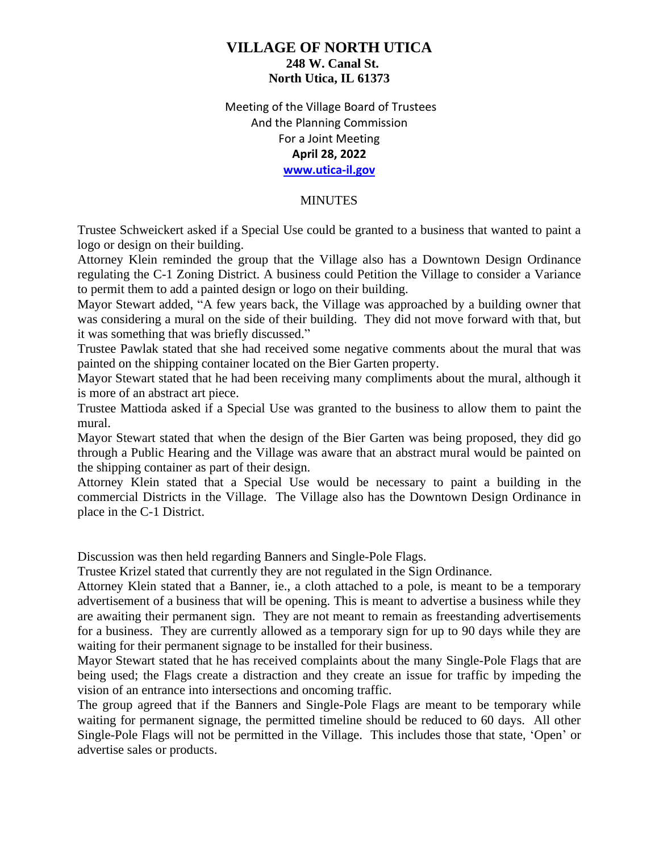### Meeting of the Village Board of Trustees And the Planning Commission For a Joint Meeting **April 28, 2022 [www.utica-il.gov](http://www.utica-il.gov/)**

#### **MINUTES**

Trustee Schweickert asked if a Special Use could be granted to a business that wanted to paint a logo or design on their building.

Attorney Klein reminded the group that the Village also has a Downtown Design Ordinance regulating the C-1 Zoning District. A business could Petition the Village to consider a Variance to permit them to add a painted design or logo on their building.

Mayor Stewart added, "A few years back, the Village was approached by a building owner that was considering a mural on the side of their building. They did not move forward with that, but it was something that was briefly discussed."

Trustee Pawlak stated that she had received some negative comments about the mural that was painted on the shipping container located on the Bier Garten property.

Mayor Stewart stated that he had been receiving many compliments about the mural, although it is more of an abstract art piece.

Trustee Mattioda asked if a Special Use was granted to the business to allow them to paint the mural.

Mayor Stewart stated that when the design of the Bier Garten was being proposed, they did go through a Public Hearing and the Village was aware that an abstract mural would be painted on the shipping container as part of their design.

Attorney Klein stated that a Special Use would be necessary to paint a building in the commercial Districts in the Village. The Village also has the Downtown Design Ordinance in place in the C-1 District.

Discussion was then held regarding Banners and Single-Pole Flags.

Trustee Krizel stated that currently they are not regulated in the Sign Ordinance.

Attorney Klein stated that a Banner, ie., a cloth attached to a pole, is meant to be a temporary advertisement of a business that will be opening. This is meant to advertise a business while they are awaiting their permanent sign. They are not meant to remain as freestanding advertisements for a business. They are currently allowed as a temporary sign for up to 90 days while they are waiting for their permanent signage to be installed for their business.

Mayor Stewart stated that he has received complaints about the many Single-Pole Flags that are being used; the Flags create a distraction and they create an issue for traffic by impeding the vision of an entrance into intersections and oncoming traffic.

The group agreed that if the Banners and Single-Pole Flags are meant to be temporary while waiting for permanent signage, the permitted timeline should be reduced to 60 days. All other Single-Pole Flags will not be permitted in the Village. This includes those that state, 'Open' or advertise sales or products.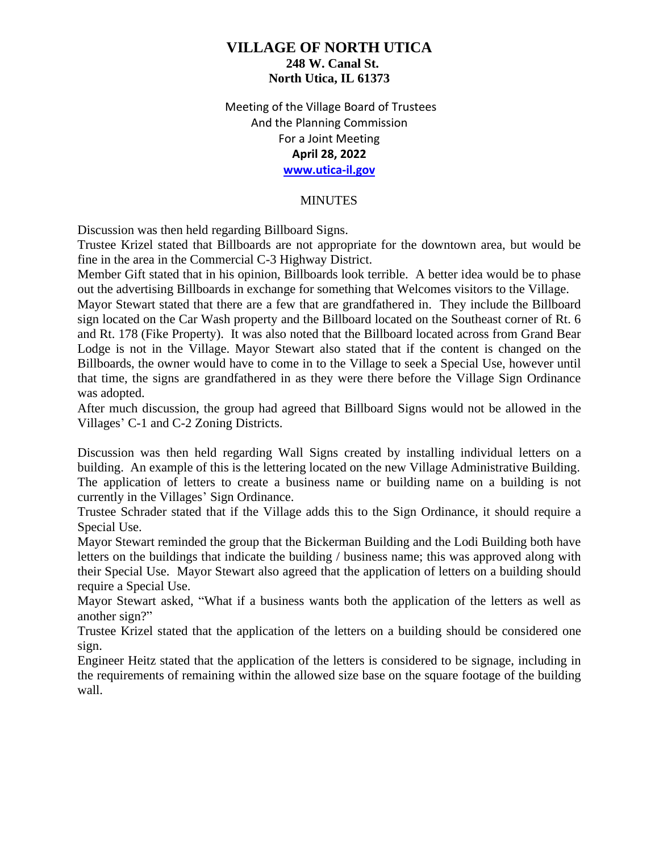Meeting of the Village Board of Trustees And the Planning Commission For a Joint Meeting **April 28, 2022 [www.utica-il.gov](http://www.utica-il.gov/)**

#### **MINUTES**

Discussion was then held regarding Billboard Signs.

Trustee Krizel stated that Billboards are not appropriate for the downtown area, but would be fine in the area in the Commercial C-3 Highway District.

Member Gift stated that in his opinion, Billboards look terrible. A better idea would be to phase out the advertising Billboards in exchange for something that Welcomes visitors to the Village.

Mayor Stewart stated that there are a few that are grandfathered in. They include the Billboard sign located on the Car Wash property and the Billboard located on the Southeast corner of Rt. 6 and Rt. 178 (Fike Property). It was also noted that the Billboard located across from Grand Bear Lodge is not in the Village. Mayor Stewart also stated that if the content is changed on the Billboards, the owner would have to come in to the Village to seek a Special Use, however until that time, the signs are grandfathered in as they were there before the Village Sign Ordinance was adopted.

After much discussion, the group had agreed that Billboard Signs would not be allowed in the Villages' C-1 and C-2 Zoning Districts.

Discussion was then held regarding Wall Signs created by installing individual letters on a building. An example of this is the lettering located on the new Village Administrative Building. The application of letters to create a business name or building name on a building is not currently in the Villages' Sign Ordinance.

Trustee Schrader stated that if the Village adds this to the Sign Ordinance, it should require a Special Use.

Mayor Stewart reminded the group that the Bickerman Building and the Lodi Building both have letters on the buildings that indicate the building / business name; this was approved along with their Special Use. Mayor Stewart also agreed that the application of letters on a building should require a Special Use.

Mayor Stewart asked, "What if a business wants both the application of the letters as well as another sign?"

Trustee Krizel stated that the application of the letters on a building should be considered one sign.

Engineer Heitz stated that the application of the letters is considered to be signage, including in the requirements of remaining within the allowed size base on the square footage of the building wall.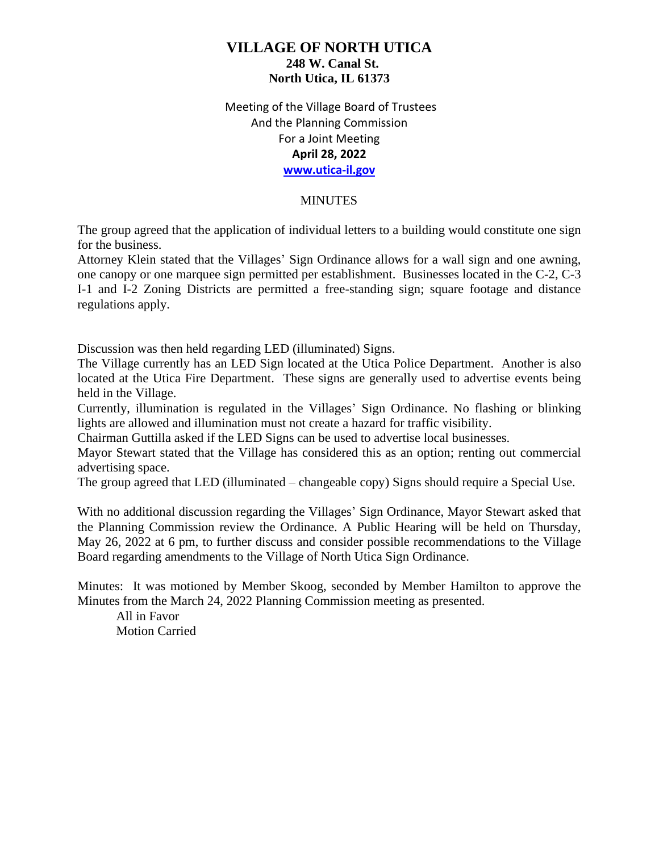Meeting of the Village Board of Trustees And the Planning Commission For a Joint Meeting **April 28, 2022 [www.utica-il.gov](http://www.utica-il.gov/)**

#### **MINUTES**

The group agreed that the application of individual letters to a building would constitute one sign for the business.

Attorney Klein stated that the Villages' Sign Ordinance allows for a wall sign and one awning, one canopy or one marquee sign permitted per establishment. Businesses located in the C-2, C-3 I-1 and I-2 Zoning Districts are permitted a free-standing sign; square footage and distance regulations apply.

Discussion was then held regarding LED (illuminated) Signs.

The Village currently has an LED Sign located at the Utica Police Department. Another is also located at the Utica Fire Department. These signs are generally used to advertise events being held in the Village.

Currently, illumination is regulated in the Villages' Sign Ordinance. No flashing or blinking lights are allowed and illumination must not create a hazard for traffic visibility.

Chairman Guttilla asked if the LED Signs can be used to advertise local businesses.

Mayor Stewart stated that the Village has considered this as an option; renting out commercial advertising space.

The group agreed that LED (illuminated – changeable copy) Signs should require a Special Use.

With no additional discussion regarding the Villages' Sign Ordinance, Mayor Stewart asked that the Planning Commission review the Ordinance. A Public Hearing will be held on Thursday, May 26, 2022 at 6 pm, to further discuss and consider possible recommendations to the Village Board regarding amendments to the Village of North Utica Sign Ordinance.

Minutes: It was motioned by Member Skoog, seconded by Member Hamilton to approve the Minutes from the March 24, 2022 Planning Commission meeting as presented.

All in Favor Motion Carried